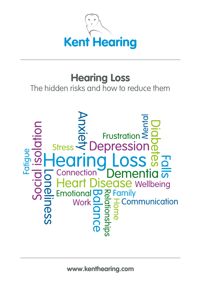

## **Hearing Loss**

### The hidden risks and how to reduce them

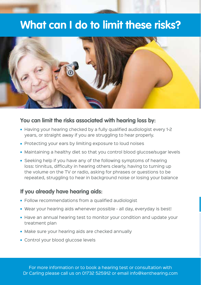## **What can I do to limit these risks?**



#### **You can limit the risks associated with hearing loss by:**

- Having your hearing checked by a fully qualified audiologist every 1-2 years, or straight away if you are struggling to hear properly.
- Protecting your ears by limiting exposure to loud noises
- Maintaining a healthy diet so that you control blood glucose/sugar levels
- Seeking help if you have any of the following symptoms of hearing loss: tinnitus, difficulty in hearing others clearly, having to turning up the volume on the TV or radio, asking for phrases or questions to be repeated, struggling to hear in background noise or losing your balance

#### **If you already have hearing aids:**

- Follow recommendations from a qualified audiologist
- Wear your hearing aids whenever possible all day, everyday is best!
- Have an annual hearing test to monitor your condition and update your treatment plan
- Make sure your hearing aids are checked annually
- Control your blood glucose levels

For more information or to book a hearing test or consultation with Dr Carling please call us on 01732 525912 or email info@kenthearing.com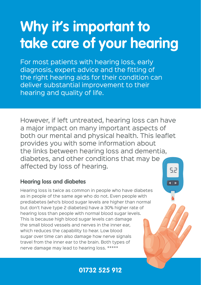# **Why it's important to take care of your hearing**

For most patients with hearing loss, early diagnosis, expert advice and the fitting of the right hearing aids for their condition can deliver substantial improvement to their hearing and quality of life.

However, if left untreated, hearing loss can have a major impact on many important aspects of both our mental and physical health. This leaflet provides you with some information about the links between hearing loss and dementia, diabetes, and other conditions that may be affected by loss of hearing. 52

#### **Hearing loss and diabetes**

Hearing loss is twice as common in people who have diabetes as in people of the same age who do not. Even people with prediabetes (who's blood sugar levels are higher than normal but don't have type 2 diabetes) have a 30% higher rate of hearing loss than people with normal blood sugar levels. This is because high blood sugar levels can damage the small blood vessels and nerves in the inner ear, which reduces the capability to hear. Low blood sugar over time can also damage how nerve signals travel from the inner ear to the brain. Both types of nerve damage may lead to hearing loss. \*\*\*\*\*

**01732 525 912**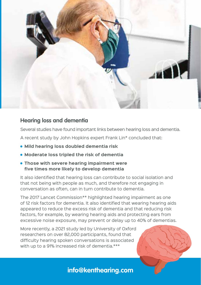

#### **Hearing loss and dementia**

Several studies have found important links between hearing loss and dementia.

A recent study by John Hopkins expert Frank Lin\* concluded that:

- **Mild hearing loss doubled dementia risk**
- **Moderate loss tripled the risk of dementia**
- **Those with severe hearing impairment were five times more likely to develop dementia**

It also identified that hearing loss can contribute to social isolation and that not being with people as much, and therefore not engaging in conversation as often, can in turn contribute to dementia.

The 2017 Lancet Commission\*\* highlighted hearing impairment as one of 12 risk factors for dementia. It also identified that wearing hearing aids appeared to reduce the excess risk of dementia and that reducing risk factors, for example, by wearing hearing aids and protecting ears from excessive noise exposure, may prevent or delay up to 40% of dementias.

More recently, a 2021 study led by University of Oxford researchers on over 82,000 participants, found that difficulty hearing spoken conversations is associated with up to a 91% increased risk of dementia.\*\*\*

**info@kenthearing.com**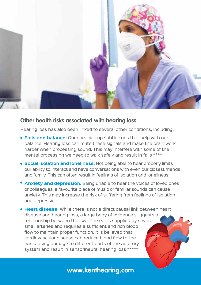

#### **Other health risks associated with hearing loss**

Hearing loss has also been linked to several other conditions, including:

- **Falls and balance:** Our ears pick up subtle cues that help with our balance. Hearing loss can mute these signals and make the brain work harder when processing sound. This may interfere with some of the mental processing we need to walk safely and result in falls \*\*\*\*
- **Social isolation and loneliness:** Not being able to hear properly limits our ability to interact and have conversations with even our closest friends and family. This can often result in feelings of isolation and loneliness
- **Anxiety and depression:** Being unable to hear the voices of loved ones or colleagues, a favourite piece of music or familiar sounds can cause anxiety. This may increase the risk of suffering from feelings of isolation and depression
- **Heart disease:** While there is not a direct causal link between heart disease and hearing loss, a large body of evidence suggests a relationship between the two. The ear is supplied by several small arteries and requires a sufficient and rich blood flow to maintain proper function. It is believed that cardiovascular disease can reduce blood flow to the ear causing damage to different parts of the auditory system and result in sensorineural hearing loss \*\*\*\*\*

#### **www.kenthearing.com**